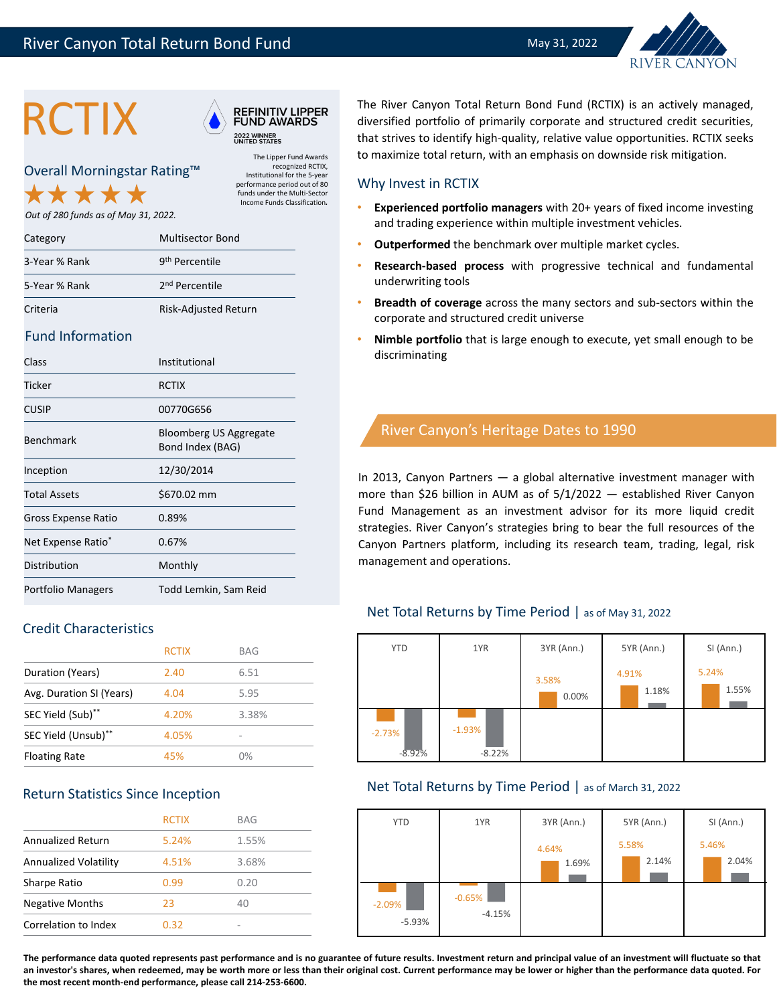





The Lipper Fund Awards recognized RCTIX, Institutional for the 5‐year performance period out of 80 funds under the Multi‐Sector Income Funds Classification*.*

Overall Morningstar Rating™

*Out of 280 funds as of May 31, 2022.*

| Category      | <b>Multisector Bond</b>    |
|---------------|----------------------------|
| 3-Year % Rank | 9 <sup>th</sup> Percentile |
| 5-Year % Rank | 2 <sup>nd</sup> Percentile |
| Criteria      | Risk-Adjusted Return       |

#### Fund Information

| Class                          | Institutional                              |
|--------------------------------|--------------------------------------------|
| Ticker                         | <b>RCTIX</b>                               |
| CUSIP                          | 00770G656                                  |
| <b>Benchmark</b>               | Bloomberg US Aggregate<br>Bond Index (BAG) |
| Inception                      | 12/30/2014                                 |
| <b>Total Assets</b>            | \$670.02 mm                                |
| Gross Expense Ratio            | 0.89%                                      |
| Net Expense Ratio <sup>*</sup> | 0.67%                                      |
| Distribution                   | Monthly                                    |
| Portfolio Managers             | Todd Lemkin, Sam Reid                      |

## Credit Characteristics

|                          | <b>RCTIX</b> | BAG   |
|--------------------------|--------------|-------|
| Duration (Years)         | 2.40         | 6.51  |
| Avg. Duration SI (Years) | 4.04         | 5.95  |
| SEC Yield (Sub)**        | 4.20%        | 3.38% |
| SEC Yield (Unsub)**      | 4.05%        | -     |
| <b>Floating Rate</b>     | 45%          | 0%    |

#### Return Statistics Since Inception

|                              | <b>RCTIX</b> | BAG   |
|------------------------------|--------------|-------|
| <b>Annualized Return</b>     | 5.24%        | 1.55% |
| <b>Annualized Volatility</b> | 4.51%        | 3.68% |
| Sharpe Ratio                 | 0.99         | 0.20  |
| <b>Negative Months</b>       | 23           | 40    |
| Correlation to Index         | 0.32         | -     |

THE River Canyon Total Return Bond Fund (RCTIX) is an actively managed,<br>
FUND AWARDS diversified portfolio of primarily corporate and structured credit securities,<br>
that strives to identify high-quality, relative value opp diversified portfolio of primarily corporate and structured credit securities, to maximize total return, with an emphasis on downside risk mitigation.

#### Why Invest in RCTIX

- **Experienced portfolio managers** with 20+ years of fixed income investing and trading experience within multiple investment vehicles.
- **Outperformed** the benchmark over multiple market cycles.
- **Research‐based process** with progressive technical and fundamental underwriting tools
- **Breadth of coverage** across the many sectors and sub‐sectors within the corporate and structured credit universe
- **Nimble portfolio** that is large enough to execute, yet small enough to be discriminating

# River Canyon's Heritage Dates to 1990

In 2013, Canyon Partners — a global alternative investment manager with more than \$26 billion in AUM as of 5/1/2022 — established River Canyon Fund Management as an investment advisor for its more liquid credit strategies. River Canyon's strategies bring to bear the full resources of the Canyon Partners platform, including its research team, trading, legal, risk management and operations.

#### Net Total Returns by Time Period | as of May 31, 2022

| <b>YTD</b>           | 1YR                  | 3YR (Ann.)     | 5YR (Ann.)     | SI (Ann.)      |
|----------------------|----------------------|----------------|----------------|----------------|
|                      |                      | 3.58%<br>0.00% | 4.91%<br>1.18% | 5.24%<br>1.55% |
| $-2.73%$<br>$-8.92%$ | $-1.93%$<br>$-8.22%$ |                |                |                |

#### Net Total Returns by Time Period | as of March 31, 2022



**The performance data quoted represents past performance and is no guarantee of future results. Investment return and principal value of an investment will fluctuate so that an investor's shares, when redeemed, may be worth more or less than their original cost. Current performance may be lower or higher than the performance data quoted. For the most recent month‐end performance, please call 214‐253‐6600.**